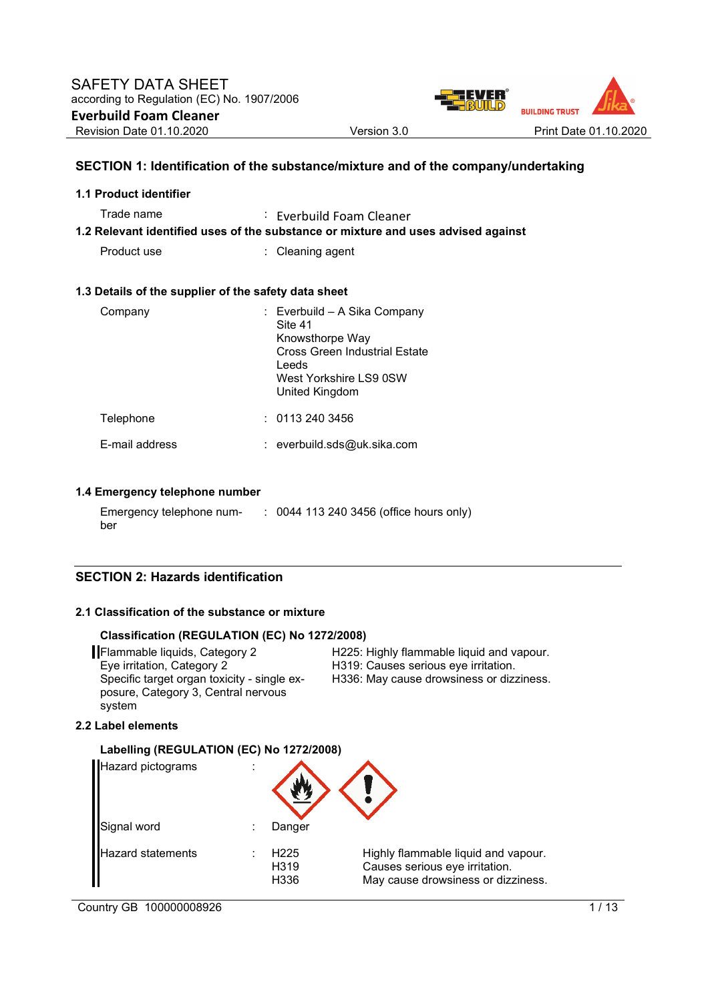

### **SECTION 1: Identification of the substance/mixture and of the company/undertaking**

| 1.1 Product identifier                               |                                                                                                                                                         |
|------------------------------------------------------|---------------------------------------------------------------------------------------------------------------------------------------------------------|
| Trade name                                           | $\therefore$ Everbuild Foam Cleaner<br>1.2 Relevant identified uses of the substance or mixture and uses advised against                                |
| Product use                                          | : Cleaning agent                                                                                                                                        |
| 1.3 Details of the supplier of the safety data sheet |                                                                                                                                                         |
| Company                                              | : Everbuild – A Sika Company<br>Site 41<br>Knowsthorpe Way<br><b>Cross Green Industrial Estate</b><br>Leeds<br>West Yorkshire LS9 0SW<br>United Kingdom |
| Telephone                                            | : 01132403456                                                                                                                                           |
| E-mail address                                       | : everbuild.sds@uk.sika.com                                                                                                                             |

#### **1.4 Emergency telephone number**

| Emergency telephone num- | : 0044 113 240 3456 (office hours only) |
|--------------------------|-----------------------------------------|
| ber                      |                                         |

#### **SECTION 2: Hazards identification**

#### **2.1 Classification of the substance or mixture**

#### **Classification (REGULATION (EC) No 1272/2008)**

**Flammable liquids, Category 2** H225: Highly flammable liquid and vapour.<br>Eye irritation, Category 2 H319: Causes serious eye irritation. Specific target organ toxicity - single exposure, Category 3, Central nervous system

H319: Causes serious eye irritation. H336: May cause drowsiness or dizziness.

#### **2.2 Label elements**

#### **Labelling (REGULATION (EC) No 1272/2008)**

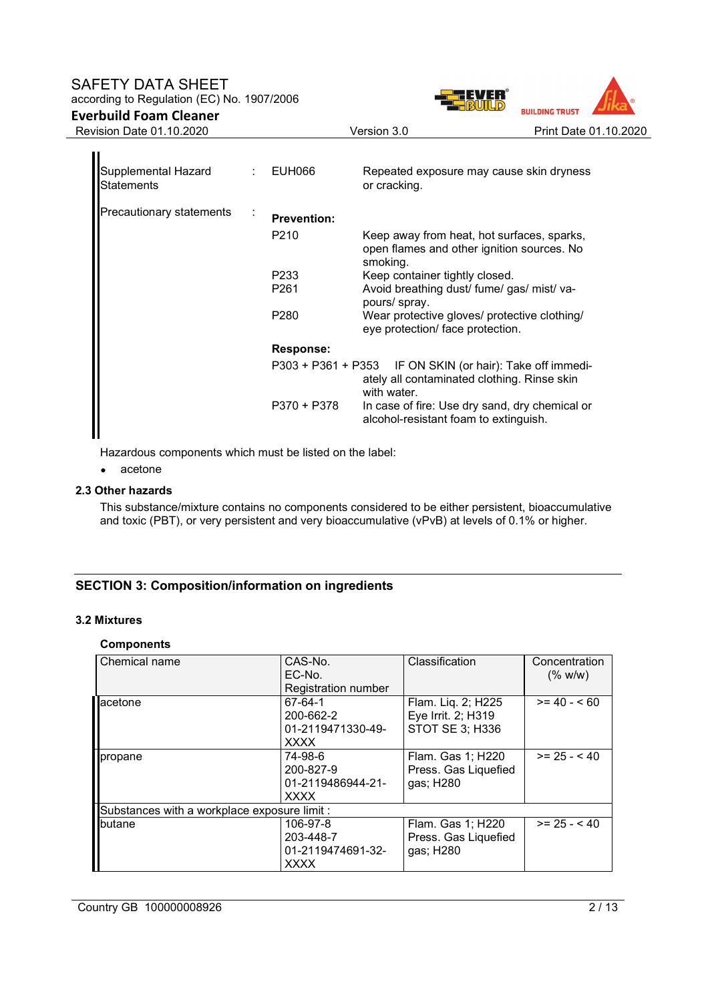### SAFETY DATA SHEET according to Regulation (EC) No. 1907/2006

# **Everbuild Foam Cleaner**



| Supplemental Hazard<br><b>Statements</b> | t. | EUH066                                 | Repeated exposure may cause skin dryness<br>or cracking.                                                                |
|------------------------------------------|----|----------------------------------------|-------------------------------------------------------------------------------------------------------------------------|
| <b>Precautionary statements</b>          |    | <b>Prevention:</b><br>P <sub>210</sub> | Keep away from heat, hot surfaces, sparks,<br>open flames and other ignition sources. No<br>smoking.                    |
|                                          |    | P233<br>P261                           | Keep container tightly closed.<br>Avoid breathing dust/ fume/ gas/ mist/ va-<br>pours/ spray.                           |
|                                          |    | P280                                   | Wear protective gloves/ protective clothing/<br>eye protection/ face protection.                                        |
|                                          |    | <b>Response:</b>                       |                                                                                                                         |
|                                          |    |                                        | P303 + P361 + P353 IF ON SKIN (or hair): Take off immedi-<br>ately all contaminated clothing. Rinse skin<br>with water. |
|                                          |    | $P370 + P378$                          | In case of fire: Use dry sand, dry chemical or<br>alcohol-resistant foam to extinguish.                                 |

Hazardous components which must be listed on the label:

#### • acetone

### **2.3 Other hazards**

This substance/mixture contains no components considered to be either persistent, bioaccumulative and toxic (PBT), or very persistent and very bioaccumulative (vPvB) at levels of 0.1% or higher.

### **SECTION 3: Composition/information on ingredients**

### **3.2 Mixtures**

### **Components**

| Chemical name                                | CAS-No.<br>EC-No.<br><b>Registration number</b>           | Classification                                                     | Concentration<br>(% w/w) |
|----------------------------------------------|-----------------------------------------------------------|--------------------------------------------------------------------|--------------------------|
| lacetone                                     | 67-64-1<br>200-662-2<br>01-2119471330-49-<br><b>XXXX</b>  | Flam. Liq. 2; H225<br>Eye Irrit. 2; H319<br><b>STOT SE 3; H336</b> | $>= 40 - 60$             |
| propane                                      | 74-98-6<br>200-827-9<br>01-2119486944-21-<br><b>XXXX</b>  | Flam. Gas 1; H220<br>Press. Gas Liquefied<br>gas; H280             | $>= 25 - 40$             |
| Substances with a workplace exposure limit : |                                                           |                                                                    |                          |
| butane                                       | 106-97-8<br>203-448-7<br>01-2119474691-32-<br><b>XXXX</b> | Flam. Gas 1; H220<br>Press. Gas Liquefied<br>gas; H280             | $>= 25 - 40$             |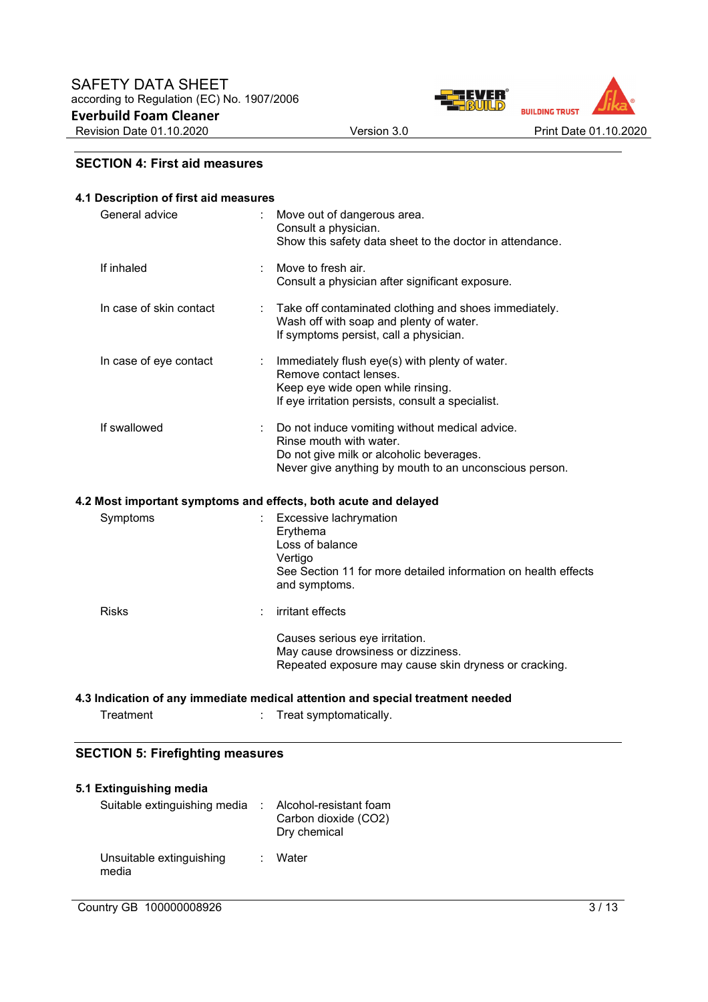

### **SECTION 4: First aid measures**

| 4.1 Description of first aid measures |   |                                                                                                                                                                                 |  |  |
|---------------------------------------|---|---------------------------------------------------------------------------------------------------------------------------------------------------------------------------------|--|--|
| General advice                        |   | Move out of dangerous area.<br>Consult a physician.<br>Show this safety data sheet to the doctor in attendance.                                                                 |  |  |
| If inhaled                            | ÷ | Move to fresh air.<br>Consult a physician after significant exposure.                                                                                                           |  |  |
| In case of skin contact               |   | Take off contaminated clothing and shoes immediately.<br>Wash off with soap and plenty of water.<br>If symptoms persist, call a physician.                                      |  |  |
| In case of eye contact                |   | Immediately flush eye(s) with plenty of water.<br>Remove contact lenses.<br>Keep eye wide open while rinsing.<br>If eye irritation persists, consult a specialist.              |  |  |
| If swallowed                          |   | Do not induce vomiting without medical advice.<br>Rinse mouth with water.<br>Do not give milk or alcoholic beverages.<br>Never give anything by mouth to an unconscious person. |  |  |
|                                       |   | 4.2 Most important symptoms and effects, both acute and delayed                                                                                                                 |  |  |
| Symptoms                              |   | Excessive lachrymation<br>Erythema<br>Loss of balance<br>Vertigo<br>See Section 11 for more detailed information on health effects<br>and symptoms.                             |  |  |
| <b>Risks</b>                          |   | irritant effects                                                                                                                                                                |  |  |
|                                       |   | Causes serious eye irritation.<br>May cause drowsiness or dizziness.<br>Repeated exposure may cause skin dryness or cracking.                                                   |  |  |
|                                       |   |                                                                                                                                                                                 |  |  |

### **4.3 Indication of any immediate medical attention and special treatment needed**

|  | Treatment | Treat symptomatically. |  |
|--|-----------|------------------------|--|
|--|-----------|------------------------|--|

### **SECTION 5: Firefighting measures**

| 5.1 Extinguishing media           |                                                                |
|-----------------------------------|----------------------------------------------------------------|
| Suitable extinguishing media      | Alcohol-resistant foam<br>Carbon dioxide (CO2)<br>Dry chemical |
| Unsuitable extinguishing<br>media | Water                                                          |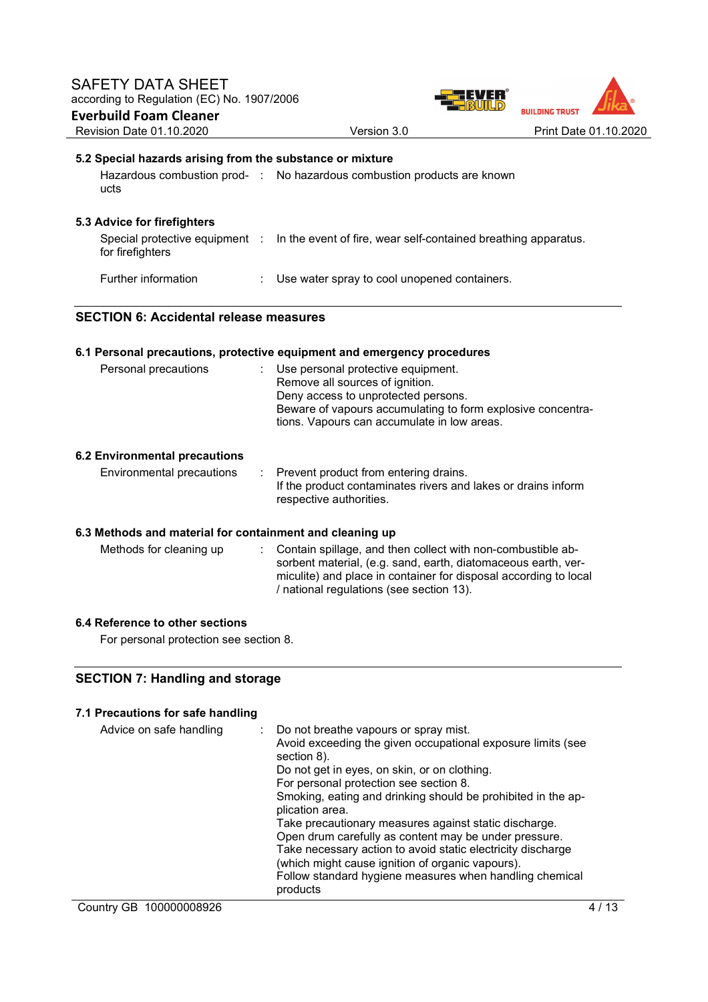

# **5.2 Special hazards arising from the substance or mixture**

| ucts                        | Hazardous combustion prod- : No hazardous combustion products are known |  |
|-----------------------------|-------------------------------------------------------------------------|--|
| 5.3 Advice for firefighters |                                                                         |  |

| for firefighters           | Special protective equipment : In the event of fire, wear self-contained breathing apparatus. |
|----------------------------|-----------------------------------------------------------------------------------------------|
| <b>Further information</b> | Use water spray to cool unopened containers.                                                  |

### **SECTION 6: Accidental release measures**

### **6.1 Personal precautions, protective equipment and emergency procedures**

| Personal precautions | : Use personal protective equipment.<br>Remove all sources of ignition.<br>Deny access to unprotected persons.<br>Beware of vapours accumulating to form explosive concentra-<br>tions. Vapours can accumulate in low areas. |
|----------------------|------------------------------------------------------------------------------------------------------------------------------------------------------------------------------------------------------------------------------|
|                      |                                                                                                                                                                                                                              |

#### **6.2 Environmental precautions**

| Environmental precautions | : Prevent product from entering drains.                       |
|---------------------------|---------------------------------------------------------------|
|                           | If the product contaminates rivers and lakes or drains inform |
|                           | respective authorities.                                       |

### **6.3 Methods and material for containment and cleaning up**

Methods for cleaning up : Contain spillage, and then collect with non-combustible absorbent material, (e.g. sand, earth, diatomaceous earth, vermiculite) and place in container for disposal according to local / national regulations (see section 13).

### **6.4 Reference to other sections**

For personal protection see section 8.

### **SECTION 7: Handling and storage**

#### **7.1 Precautions for safe handling**  Advice on safe handling : Do not breathe vapours or spray mist. Avoid exceeding the given occupational exposure limits (see section 8). Do not get in eyes, on skin, or on clothing. For personal protection see section 8. Smoking, eating and drinking should be prohibited in the application area. Take precautionary measures against static discharge. Open drum carefully as content may be under pressure. Take necessary action to avoid static electricity discharge (which might cause ignition of organic vapours). Follow standard hygiene measures when handling chemical products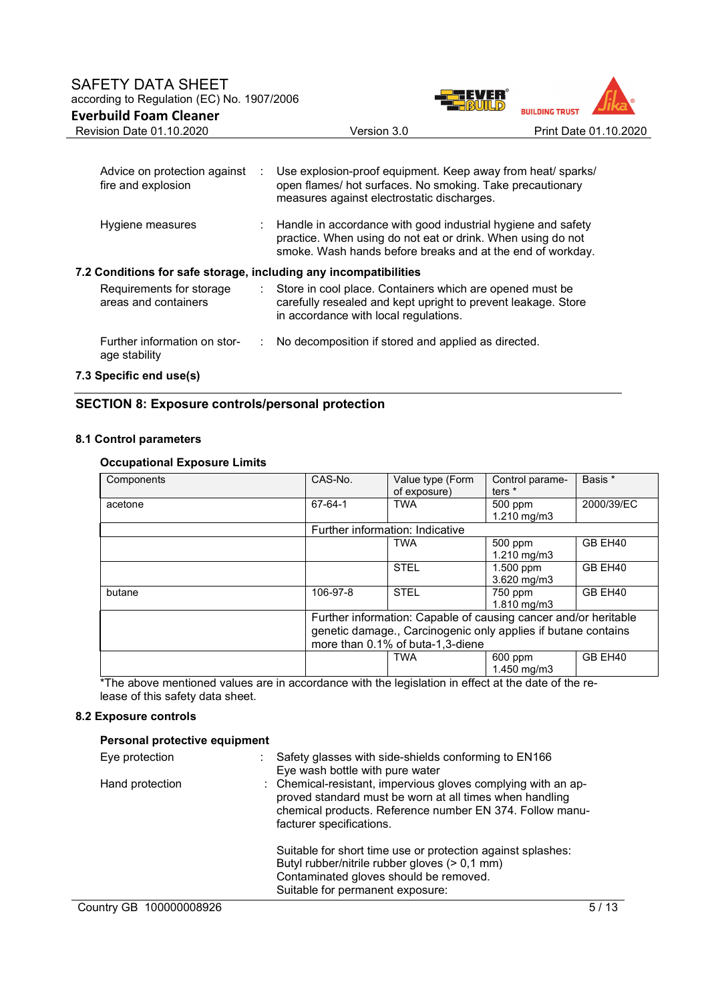

| Advice on protection against<br>fire and explosion               | ÷. | Use explosion-proof equipment. Keep away from heat/ sparks/<br>open flames/ hot surfaces. No smoking. Take precautionary<br>measures against electrostatic discharges.                                 |
|------------------------------------------------------------------|----|--------------------------------------------------------------------------------------------------------------------------------------------------------------------------------------------------------|
| Hygiene measures                                                 |    | $\therefore$ Handle in accordance with good industrial hygiene and safety<br>practice. When using do not eat or drink. When using do not<br>smoke. Wash hands before breaks and at the end of workday. |
| 7.2 Conditions for safe storage, including any incompatibilities |    |                                                                                                                                                                                                        |
| Requirements for storage<br>areas and containers                 | ÷. | Store in cool place. Containers which are opened must be<br>carefully resealed and kept upright to prevent leakage. Store<br>in accordance with local regulations.                                     |
| Further information on stor-<br>age stability                    |    | No decomposition if stored and applied as directed.                                                                                                                                                    |

### **7.3 Specific end use(s)**

### **SECTION 8: Exposure controls/personal protection**

### **8.1 Control parameters**

### **Occupational Exposure Limits**

| Components | CAS-No.                         | Value type (Form<br>of exposure)                                                                                                                                     | Control parame-<br>ters <sup>*</sup> | Basis *    |
|------------|---------------------------------|----------------------------------------------------------------------------------------------------------------------------------------------------------------------|--------------------------------------|------------|
| acetone    | 67-64-1                         | <b>TWA</b>                                                                                                                                                           | 500 ppm<br>1.210 mg/m3               | 2000/39/EC |
|            | Further information: Indicative |                                                                                                                                                                      |                                      |            |
|            |                                 | <b>TWA</b>                                                                                                                                                           | 500 ppm<br>$1.210$ mg/m $3$          | GB EH40    |
|            |                                 | <b>STEL</b>                                                                                                                                                          | 1.500 ppm<br>$3.620$ mg/m $3$        | GB EH40    |
| butane     | 106-97-8                        | <b>STEL</b>                                                                                                                                                          | 750 ppm<br>1.810 mg/m3               | GB EH40    |
|            |                                 | Further information: Capable of causing cancer and/or heritable<br>genetic damage., Carcinogenic only applies if butane contains<br>more than 0.1% of buta-1,3-diene |                                      |            |
|            |                                 | <b>TWA</b>                                                                                                                                                           | 600 ppm<br>1.450 mg/m3               | GB EH40    |

\*The above mentioned values are in accordance with the legislation in effect at the date of the release of this safety data sheet.

#### **8.2 Exposure controls**

### **Personal protective equipment**

| Eye protection  | Safety glasses with side-shields conforming to EN166<br>Eye wash bottle with pure water                                                                                                                          |
|-----------------|------------------------------------------------------------------------------------------------------------------------------------------------------------------------------------------------------------------|
| Hand protection | : Chemical-resistant, impervious gloves complying with an ap-<br>proved standard must be worn at all times when handling<br>chemical products. Reference number EN 374. Follow manu-<br>facturer specifications. |
|                 | Suitable for short time use or protection against splashes:<br>Butyl rubber/nitrile rubber gloves (> 0,1 mm)<br>Contaminated gloves should be removed.<br>Suitable for permanent exposure:                       |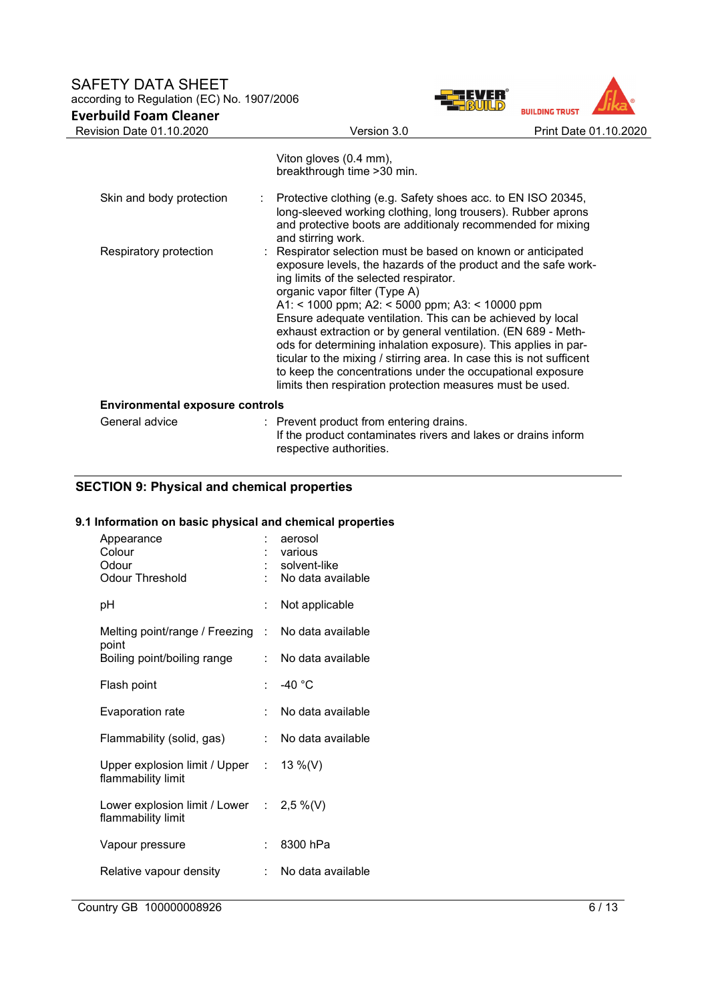### SAFETY DATA SHEET according to Regulation (EC) No. 1907/2006 **Everbuild Foam Cleaner**

| FVERT | <b>BUILDING TRUST</b> |                       |
|-------|-----------------------|-----------------------|
|       |                       | Print Date 01.10.2020 |
|       |                       |                       |

| Revision Date 01.10.2020               | Version 3.0                                                                                                                                                                                                                                                                                                                                                                                                                                                                                                                                                                                                                                                      | Print Date 01.10.2020 |
|----------------------------------------|------------------------------------------------------------------------------------------------------------------------------------------------------------------------------------------------------------------------------------------------------------------------------------------------------------------------------------------------------------------------------------------------------------------------------------------------------------------------------------------------------------------------------------------------------------------------------------------------------------------------------------------------------------------|-----------------------|
|                                        | Viton gloves (0.4 mm),<br>breakthrough time > 30 min.                                                                                                                                                                                                                                                                                                                                                                                                                                                                                                                                                                                                            |                       |
| Skin and body protection               | Protective clothing (e.g. Safety shoes acc. to EN ISO 20345,<br>long-sleeved working clothing, long trousers). Rubber aprons<br>and protective boots are additionaly recommended for mixing<br>and stirring work.                                                                                                                                                                                                                                                                                                                                                                                                                                                |                       |
| Respiratory protection                 | : Respirator selection must be based on known or anticipated<br>exposure levels, the hazards of the product and the safe work-<br>ing limits of the selected respirator.<br>organic vapor filter (Type A)<br>A1: < 1000 ppm; A2: < 5000 ppm; A3: < 10000 ppm<br>Ensure adequate ventilation. This can be achieved by local<br>exhaust extraction or by general ventilation. (EN 689 - Meth-<br>ods for determining inhalation exposure). This applies in par-<br>ticular to the mixing / stirring area. In case this is not sufficent<br>to keep the concentrations under the occupational exposure<br>limits then respiration protection measures must be used. |                       |
| <b>Environmental exposure controls</b> |                                                                                                                                                                                                                                                                                                                                                                                                                                                                                                                                                                                                                                                                  |                       |
| General advice                         | : Prevent product from entering drains.<br>If the product contaminates rivers and lakes or drains inform<br>respective authorities.                                                                                                                                                                                                                                                                                                                                                                                                                                                                                                                              |                       |

# **SECTION 9: Physical and chemical properties**

# **9.1 Information on basic physical and chemical properties**

| Appearance<br>Colour<br>Odour<br><b>Odour Threshold</b>          |      | aerosol<br>: various<br>: solvent-like<br>No data available |
|------------------------------------------------------------------|------|-------------------------------------------------------------|
| рH                                                               |      | Not applicable                                              |
| Melting point/range / Freezing<br>point                          | t.   | No data available                                           |
| Boiling point/boiling range                                      |      | No data available                                           |
| Flash point                                                      |      | -40 $^{\circ}$ C                                            |
| Evaporation rate                                                 | t.   | No data available                                           |
| Flammability (solid, gas)                                        | t in | No data available                                           |
| Upper explosion limit / Upper : $13\%$ (V)<br>flammability limit |      |                                                             |
| Lower explosion limit / Lower : 2,5 %(V)<br>flammability limit   |      |                                                             |
| Vapour pressure                                                  |      | 8300 hPa                                                    |
| Relative vapour density                                          | t.   | No data available                                           |
|                                                                  |      |                                                             |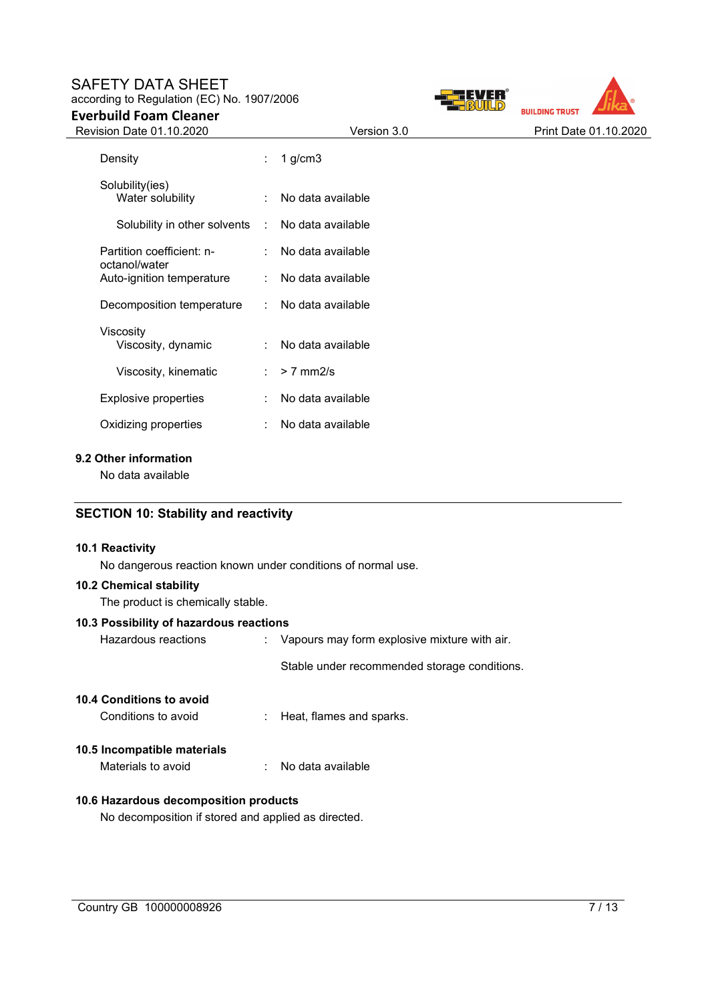# SAFETY DATA SHEET according to Regulation (EC) No. 1907/2006

# **Everbuild Foam Cleaner**



| Revision Date 01.10.2020                         |    | Version 3.0         | Print Date 01.10.2020 |
|--------------------------------------------------|----|---------------------|-----------------------|
| Density                                          | t. | 1 $g/cm3$           |                       |
| Solubility(ies)<br>Water solubility              |    | : No data available |                       |
| Solubility in other solvents : No data available |    |                     |                       |
| Partition coefficient: n-                        |    | : No data available |                       |
| octanol/water<br>Auto-ignition temperature       |    | : No data available |                       |
| Decomposition temperature                        |    | : No data available |                       |
| Viscosity<br>Viscosity, dynamic                  |    | No data available   |                       |
| Viscosity, kinematic                             | ÷  | $> 7$ mm2/s         |                       |
| <b>Explosive properties</b>                      | ÷. | No data available   |                       |
| Oxidizing properties                             | ÷  | No data available   |                       |

#### **9.2 Other information**

No data available

### **SECTION 10: Stability and reactivity**

### **10.1 Reactivity**

No dangerous reaction known under conditions of normal use.

#### **10.2 Chemical stability**

| The product is chemically stable. |  |  |
|-----------------------------------|--|--|
|                                   |  |  |

# **10.3 Possibility of hazardous reactions**

| Hazardous reactions | : Vapours may form explosive mixture with air. |
|---------------------|------------------------------------------------|
|                     | Stable under recommended storage conditions.   |

| <b>10.4 Conditions to avoid</b> |                                       |
|---------------------------------|---------------------------------------|
| Conditions to avoid             | $\therefore$ Heat, flames and sparks. |
| 10.5 Incompatible materials     |                                       |

Materials to avoid : No data available

### **10.6 Hazardous decomposition products**

No decomposition if stored and applied as directed.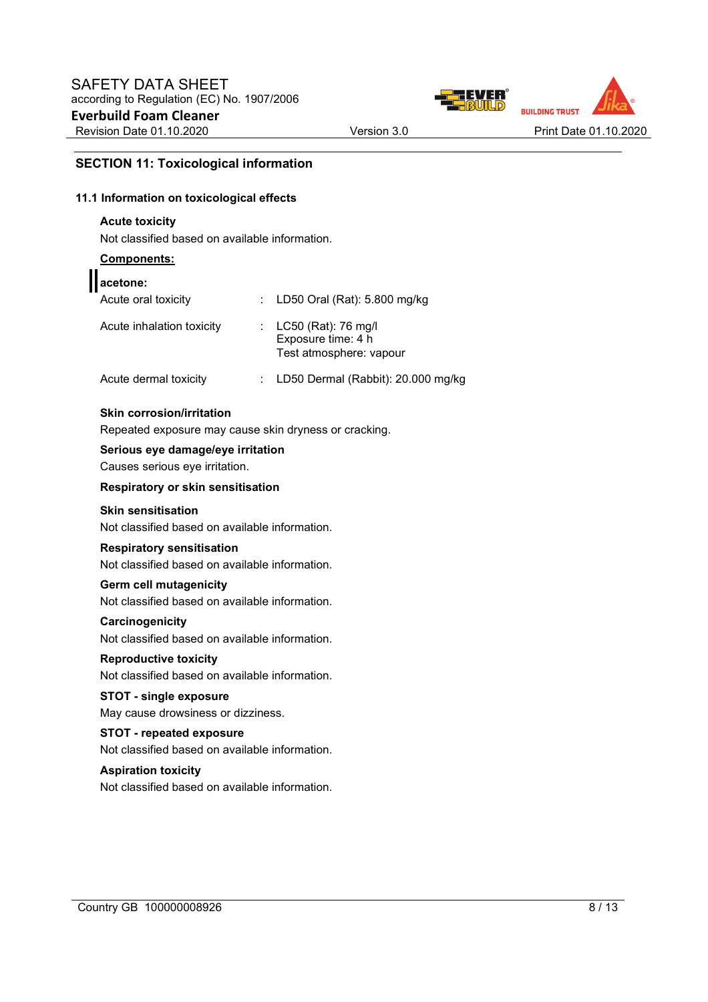



### **SECTION 11: Toxicological information**

#### **11.1 Information on toxicological effects**

### **Acute toxicity**

Not classified based on available information.

#### **Components:**

ι

| acetone:                  |                                                                          |
|---------------------------|--------------------------------------------------------------------------|
| Acute oral toxicity       | : LD50 Oral (Rat): 5.800 mg/kg                                           |
| Acute inhalation toxicity | : $LC50$ (Rat): 76 mg/l<br>Exposure time: 4 h<br>Test atmosphere: vapour |
| Acute dermal toxicity     | LD50 Dermal (Rabbit): 20.000 mg/kg                                       |

#### **Skin corrosion/irritation**

Repeated exposure may cause skin dryness or cracking.

#### **Serious eye damage/eye irritation**

Causes serious eye irritation.

#### **Respiratory or skin sensitisation**

### **Skin sensitisation**

Not classified based on available information.

#### **Respiratory sensitisation**

Not classified based on available information.

#### **Germ cell mutagenicity**

Not classified based on available information.

#### **Carcinogenicity**

Not classified based on available information.

### **Reproductive toxicity**  Not classified based on available information.

**STOT - single exposure** 

# May cause drowsiness or dizziness.

#### **STOT - repeated exposure**  Not classified based on available information.

### **Aspiration toxicity**

Not classified based on available information.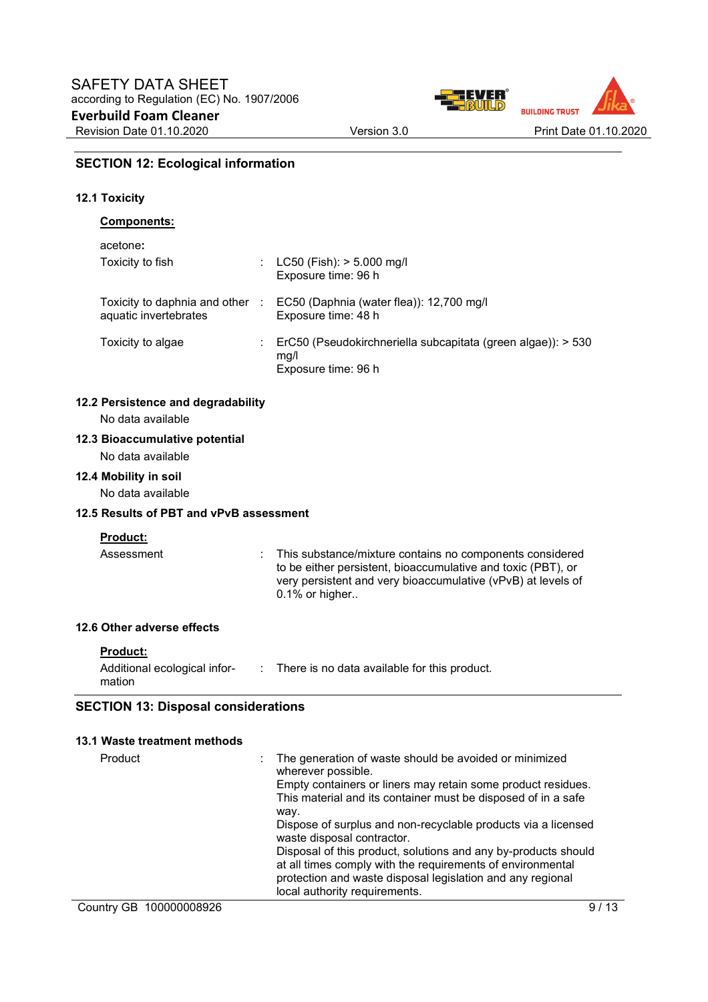

#### **SECTION 12: Ecological information**

#### **12.1 Toxicity**

#### **Components:**

| acetone <b>:</b>                                       |            |                                                                                             |
|--------------------------------------------------------|------------|---------------------------------------------------------------------------------------------|
| Toxicity to fish                                       |            | : $LC50$ (Fish): $> 5.000$ mg/l<br>Exposure time: 96 h                                      |
| Toxicity to daphnia and other<br>aquatic invertebrates | $\sim 100$ | EC50 (Daphnia (water flea)): 12,700 mg/l<br>Exposure time: 48 h                             |
| Toxicity to algae                                      |            | ErC50 (Pseudokirchneriella subcapitata (green algae)): > 530<br>mg/l<br>Exposure time: 96 h |

#### **12.2 Persistence and degradability**

No data available

#### **12.3 Bioaccumulative potential**

No data available

**12.4 Mobility in soil**  No data available

#### **12.5 Results of PBT and vPvB assessment**

#### **Product:**

Assessment : This substance/mixture contains no components considered to be either persistent, bioaccumulative and toxic (PBT), or very persistent and very bioaccumulative (vPvB) at levels of  $0.1\%$  or higher..

#### **12.6 Other adverse effects**

#### **Product:**

Additional ecological information : There is no data available for this product.

#### **SECTION 13: Disposal considerations**

#### **13.1 Waste treatment methods**  Product **interest in the generation of waste should be avoided or minimized** wherever possible. Empty containers or liners may retain some product residues. This material and its container must be disposed of in a safe way. Dispose of surplus and non-recyclable products via a licensed waste disposal contractor. Disposal of this product, solutions and any by-products should at all times comply with the requirements of environmental protection and waste disposal legislation and any regional local authority requirements.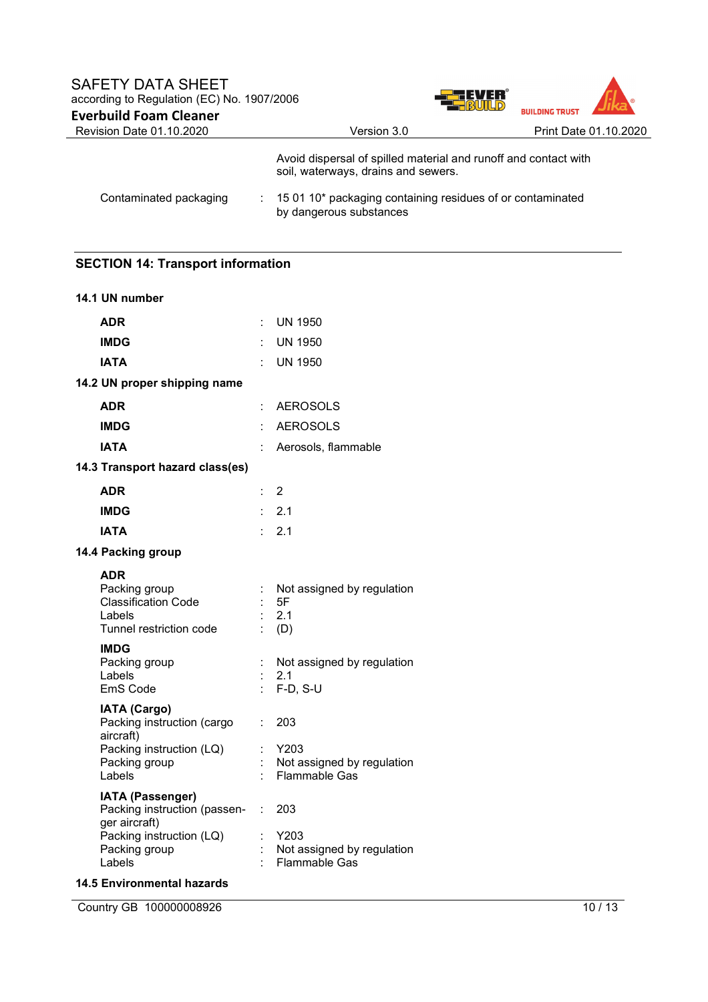

| Revision Date 01.10.2020 | Version 3.0                                                                                            | Print Date 01.10.2020 |
|--------------------------|--------------------------------------------------------------------------------------------------------|-----------------------|
|                          | Avoid dispersal of spilled material and runoff and contact with<br>soil, waterways, drains and sewers. |                       |
| Contaminated packaging   | $\pm$ 15 01 10* packaging containing residues of or contaminated<br>by dangerous substances            |                       |

# **SECTION 14: Transport information**

| 14.1 UN number                                                                                 |    |                                                            |
|------------------------------------------------------------------------------------------------|----|------------------------------------------------------------|
| <b>ADR</b>                                                                                     |    | UN 1950                                                    |
| <b>IMDG</b>                                                                                    |    | <b>UN 1950</b>                                             |
| <b>IATA</b>                                                                                    |    | UN 1950                                                    |
| 14.2 UN proper shipping name                                                                   |    |                                                            |
| <b>ADR</b>                                                                                     |    | <b>AEROSOLS</b>                                            |
| <b>IMDG</b>                                                                                    |    | <b>AEROSOLS</b>                                            |
| <b>IATA</b>                                                                                    |    | Aerosols, flammable                                        |
| 14.3 Transport hazard class(es)                                                                |    |                                                            |
| <b>ADR</b>                                                                                     | ÷. | $\overline{2}$                                             |
| <b>IMDG</b>                                                                                    |    | 2.1                                                        |
| <b>IATA</b>                                                                                    |    | 2.1                                                        |
| 14.4 Packing group                                                                             |    |                                                            |
| <b>ADR</b><br>Packing group<br><b>Classification Code</b><br>Labels<br>Tunnel restriction code |    | Not assigned by regulation<br>5F<br>2.1<br>(D)             |
| <b>IMDG</b><br>Packing group<br>Labels<br>EmS Code                                             |    | Not assigned by regulation<br>2.1<br>$F-D, S-U$            |
| <b>IATA (Cargo)</b><br>Packing instruction (cargo<br>aircraft)                                 | t. | 203                                                        |
| Packing instruction (LQ)<br>Packing group<br>Labels                                            |    | Y203<br>Not assigned by regulation<br><b>Flammable Gas</b> |
| IATA (Passenger)<br>Packing instruction (passen-<br>ger aircraft)                              | ÷. | 203                                                        |
| Packing instruction (LQ)<br>Packing group<br>Labels                                            |    | Y203<br>Not assigned by regulation<br><b>Flammable Gas</b> |

### **14.5 Environmental hazards**

Country GB 100000008926 10 / 13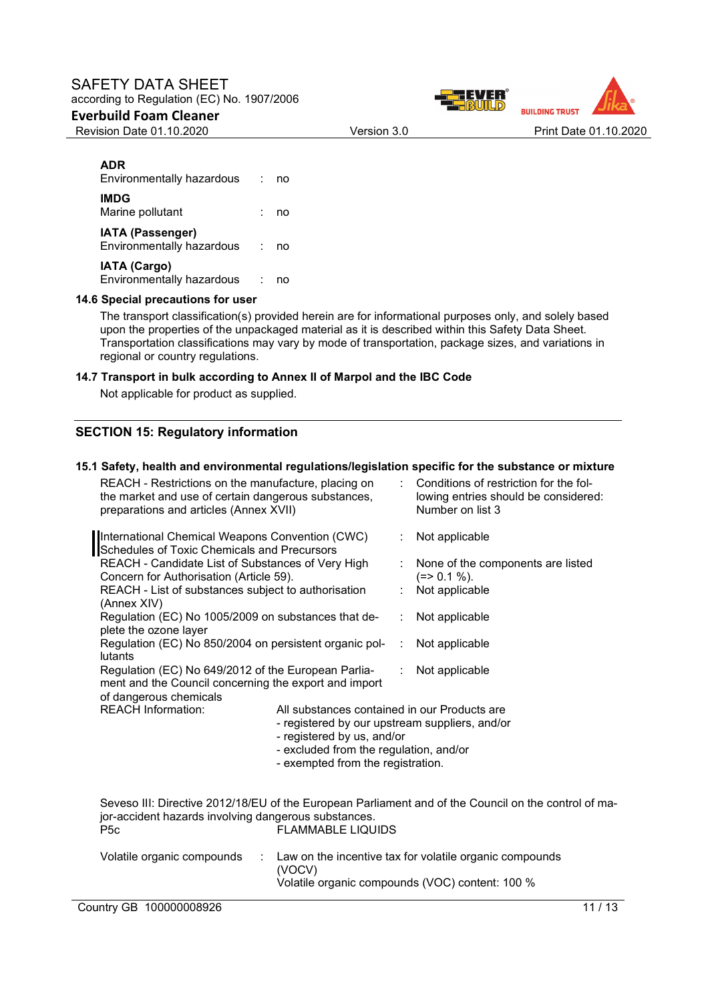### SAFETY DATA SHEET according to Regulation (EC) No. 1907/2006

### **Everbuild Foam Cleaner**



### **ADR**

| Environmentally hazardous                        | no |
|--------------------------------------------------|----|
| <b>IMDG</b><br>Marine pollutant                  | no |
| IATA (Passenger)<br>Environmentally hazardous    | no |
| <b>IATA (Cargo)</b><br>Environmentally hazardous |    |

#### **14.6 Special precautions for user**

The transport classification(s) provided herein are for informational purposes only, and solely based upon the properties of the unpackaged material as it is described within this Safety Data Sheet. Transportation classifications may vary by mode of transportation, package sizes, and variations in regional or country regulations.

#### **14.7 Transport in bulk according to Annex II of Marpol and the IBC Code**

Not applicable for product as supplied.

### **SECTION 15: Regulatory information**

### **15.1 Safety, health and environmental regulations/legislation specific for the substance or mixture**

| REACH - Restrictions on the manufacture, placing on<br>the market and use of certain dangerous substances,<br>preparations and articles (Annex XVII) |                                                                                                                                                                                                             |   | Conditions of restriction for the fol-<br>lowing entries should be considered:<br>Number on list 3         |
|------------------------------------------------------------------------------------------------------------------------------------------------------|-------------------------------------------------------------------------------------------------------------------------------------------------------------------------------------------------------------|---|------------------------------------------------------------------------------------------------------------|
| International Chemical Weapons Convention (CWC)<br>Schedules of Toxic Chemicals and Precursors                                                       |                                                                                                                                                                                                             |   | Not applicable                                                                                             |
| REACH - Candidate List of Substances of Very High<br>Concern for Authorisation (Article 59).                                                         |                                                                                                                                                                                                             |   | None of the components are listed<br>$(=>0.1\%).$                                                          |
| REACH - List of substances subject to authorisation<br>(Annex XIV)                                                                                   |                                                                                                                                                                                                             |   | Not applicable                                                                                             |
| Regulation (EC) No 1005/2009 on substances that de-<br>plete the ozone layer                                                                         |                                                                                                                                                                                                             | ÷ | Not applicable                                                                                             |
| Regulation (EC) No 850/2004 on persistent organic pol-<br>lutants                                                                                    |                                                                                                                                                                                                             | ÷ | Not applicable                                                                                             |
| Regulation (EC) No 649/2012 of the European Parlia-<br>ment and the Council concerning the export and import<br>of dangerous chemicals               |                                                                                                                                                                                                             |   | Not applicable                                                                                             |
| <b>REACH Information:</b>                                                                                                                            | All substances contained in our Products are<br>- registered by our upstream suppliers, and/or<br>- registered by us, and/or<br>- excluded from the regulation, and/or<br>- exempted from the registration. |   |                                                                                                            |
| jor-accident hazards involving dangerous substances.<br>P <sub>5</sub> c                                                                             | <b>FLAMMABLE LIQUIDS</b>                                                                                                                                                                                    |   | Seveso III: Directive 2012/18/EU of the European Parliament and of the Council on the control of ma-       |
| Volatile organic compounds<br>÷                                                                                                                      | (VOCV)                                                                                                                                                                                                      |   | Law on the incentive tax for volatile organic compounds<br>Volatile organic compounds (VOC) content: 100 % |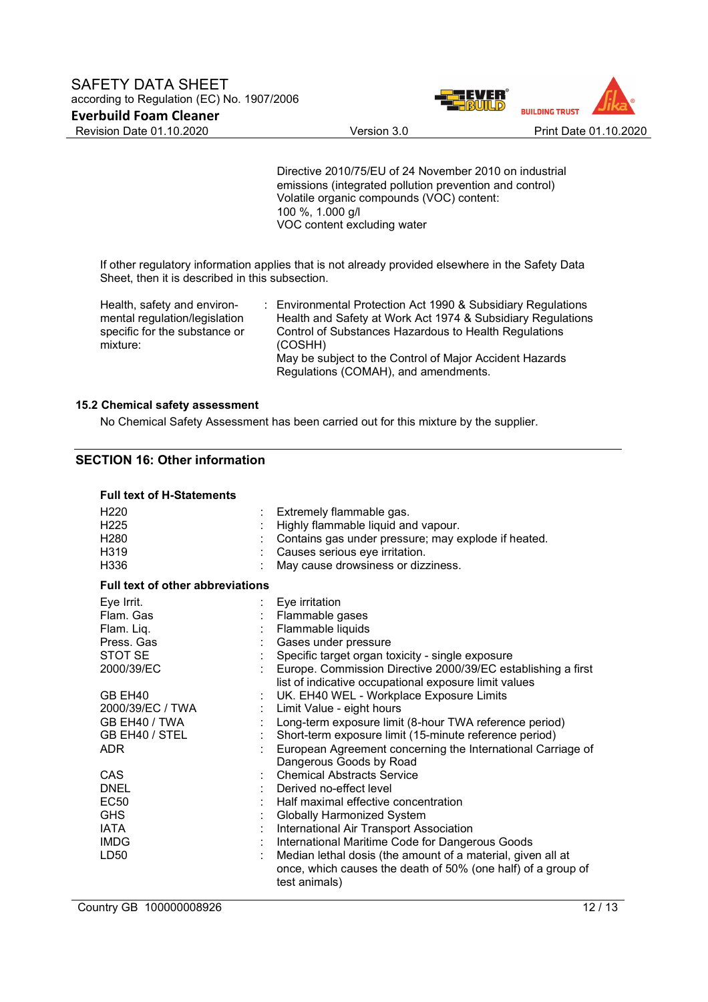

Directive 2010/75/EU of 24 November 2010 on industrial emissions (integrated pollution prevention and control) Volatile organic compounds (VOC) content: 100 %, 1.000 g/l VOC content excluding water

If other regulatory information applies that is not already provided elsewhere in the Safety Data Sheet, then it is described in this subsection.

Health, safety and environmental regulation/legislation specific for the substance or mixture:

: Environmental Protection Act 1990 & Subsidiary Regulations Health and Safety at Work Act 1974 & Subsidiary Regulations Control of Substances Hazardous to Health Regulations (COSHH) May be subject to the Control of Major Accident Hazards Regulations (COMAH), and amendments.

#### **15.2 Chemical safety assessment**

No Chemical Safety Assessment has been carried out for this mixture by the supplier.

# **SECTION 16: Other information**

| <b>Full text of H-Statements</b> |
|----------------------------------|
|----------------------------------|

| H <sub>220</sub><br>H <sub>225</sub><br>H <sub>280</sub><br>H319<br>H <sub>336</sub>              | Extremely flammable gas.<br>Highly flammable liquid and vapour.<br>Contains gas under pressure; may explode if heated.<br>Causes serious eye irritation.<br>May cause drowsiness or dizziness.                                                                                                                                                                                   |
|---------------------------------------------------------------------------------------------------|----------------------------------------------------------------------------------------------------------------------------------------------------------------------------------------------------------------------------------------------------------------------------------------------------------------------------------------------------------------------------------|
| <b>Full text of other abbreviations</b>                                                           |                                                                                                                                                                                                                                                                                                                                                                                  |
| Eye Irrit.<br>Flam, Gas<br>Flam. Liq.<br>Press, Gas<br>STOT SE<br>2000/39/EC                      | Eye irritation<br>Flammable gases<br>Flammable liquids<br>Gases under pressure<br>Specific target organ toxicity - single exposure<br>Europe. Commission Directive 2000/39/EC establishing a first                                                                                                                                                                               |
| GB EH40<br>2000/39/EC / TWA<br>GB EH40 / TWA<br>GB EH40 / STEL<br>ADR.                            | list of indicative occupational exposure limit values<br>UK. EH40 WEL - Workplace Exposure Limits<br>Limit Value - eight hours<br>Long-term exposure limit (8-hour TWA reference period)<br>Short-term exposure limit (15-minute reference period)<br>European Agreement concerning the International Carriage of<br>Dangerous Goods by Road                                     |
| CAS<br><b>DNEL</b><br><b>EC50</b><br><b>GHS</b><br><b>IATA</b><br><b>IMDG</b><br>LD <sub>50</sub> | <b>Chemical Abstracts Service</b><br>Derived no-effect level<br>Half maximal effective concentration<br>Globally Harmonized System<br>International Air Transport Association<br>International Maritime Code for Dangerous Goods<br>Median lethal dosis (the amount of a material, given all at<br>once, which causes the death of 50% (one half) of a group of<br>test animals) |